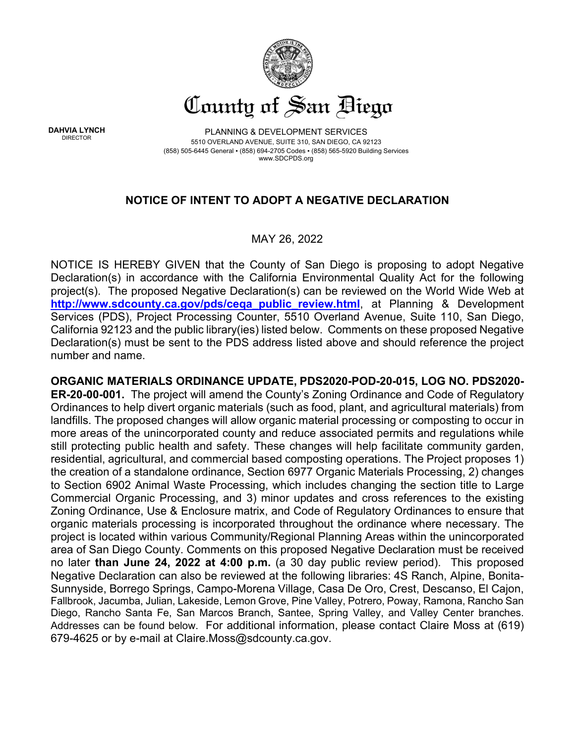

**DAHVIA LYNCH**

PLANNING & DEVELOPMENT SERVICES 5510 OVERLAND AVENUE, SUITE 310, SAN DIEGO, CA 92123 (858) 505-6445 General ▪ (858) 694-2705 Codes ▪ (858) 565-5920 Building Services www.SDCPDS.org

## **NOTICE OF INTENT TO ADOPT A NEGATIVE DECLARATION**

## MAY 26, 2022

NOTICE IS HEREBY GIVEN that the County of San Diego is proposing to adopt Negative Declaration(s) in accordance with the California Environmental Quality Act for the following project(s). The proposed Negative Declaration(s) can be reviewed on the World Wide Web at **[http://www.sdcounty.ca.gov/pds/ceqa\\_public\\_review.html](http://www.sdcounty.ca.gov/pds/ceqa_public_review.html)**, at Planning & Development Services (PDS), Project Processing Counter, 5510 Overland Avenue, Suite 110, San Diego, California 92123 and the public library(ies) listed below. Comments on these proposed Negative Declaration(s) must be sent to the PDS address listed above and should reference the project number and name.

**ORGANIC MATERIALS ORDINANCE UPDATE, PDS2020-POD-20-015, LOG NO. PDS2020- ER-20-00-001.** The project will amend the County's Zoning Ordinance and Code of Regulatory Ordinances to help divert organic materials (such as food, plant, and agricultural materials) from landfills. The proposed changes will allow organic material processing or composting to occur in more areas of the unincorporated county and reduce associated permits and regulations while still protecting public health and safety. These changes will help facilitate community garden, residential, agricultural, and commercial based composting operations. The Project proposes 1) the creation of a standalone ordinance, Section 6977 Organic Materials Processing, 2) changes to Section 6902 Animal Waste Processing, which includes changing the section title to Large Commercial Organic Processing, and 3) minor updates and cross references to the existing Zoning Ordinance, Use & Enclosure matrix, and Code of Regulatory Ordinances to ensure that organic materials processing is incorporated throughout the ordinance where necessary. The project is located within various Community/Regional Planning Areas within the unincorporated area of San Diego County. Comments on this proposed Negative Declaration must be received no later **than June 24, 2022 at 4:00 p.m.** (a 30 day public review period). This proposed Negative Declaration can also be reviewed at the following libraries: 4S Ranch, Alpine, Bonita-Sunnyside, Borrego Springs, Campo-Morena Village, Casa De Oro, Crest, Descanso, El Cajon, Fallbrook, Jacumba, Julian, Lakeside, Lemon Grove, Pine Valley, Potrero, Poway, Ramona, Rancho San Diego, Rancho Santa Fe, San Marcos Branch, Santee, Spring Valley, and Valley Center branches. Addresses can be found below. For additional information, please contact Claire Moss at (619) 679-4625 or by e-mail at Claire.Moss@sdcounty.ca.gov.